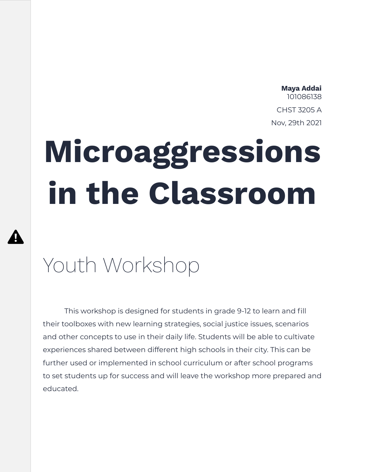#### **Maya Addai** 101086138 CHST 3205 A Nov, 29th 2021

# **Microaggressions in the Classroom**

# Youth Workshop

 $\boldsymbol{\Omega}$ 

This workshop is designed for students in grade 9-12 to learn and fill their toolboxes with new learning strategies, social justice issues, scenarios and other concepts to use in their daily life. Students will be able to cultivate experiences shared between different high schools in their city. This can be further used or implemented in school curriculum or after school programs to set students up for success and will leave the workshop more prepared and educated.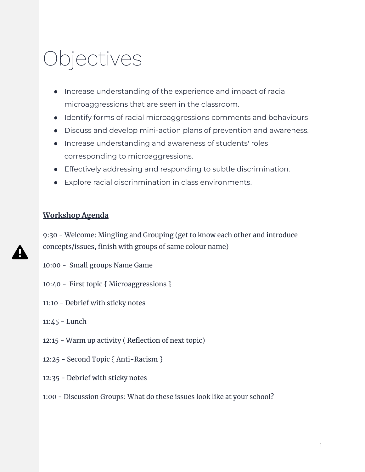# Objectives

- Increase understanding of the experience and impact of racial microaggressions that are seen in the classroom.
- Identify forms of racial microaggressions comments and behaviours
- Discuss and develop mini-action plans of prevention and awareness.
- Increase understanding and awareness of students' roles corresponding to microaggressions.
- Effectively addressing and responding to subtle discrimination.
- Explore racial discrinmination in class environments.

#### **Workshop Agenda**

9:30 - Welcome: Mingling and Grouping (get to know each other and introduce concepts/issues, finish with groups of same colour name)

- 10:00 Small groups Name Game
- 10:40 First topic { Microaggressions }
- 11:10 Debrief with sticky notes
- 11:45 Lunch
- 12:15 Warm up activity ( Reflection of next topic)
- 12:25 Second Topic { Anti-Racism }
- 12:35 Debrief with sticky notes
- 1:00 Discussion Groups: What do these issues look like at your school?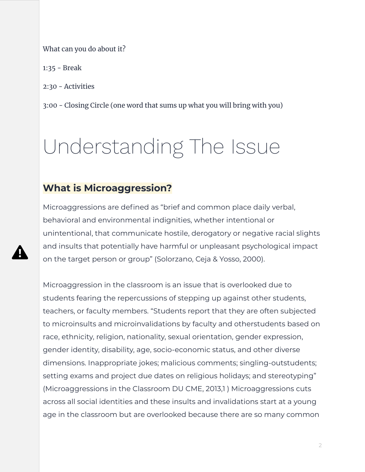#### What can you do about it?

1:35 - Break

2:30 - Activities

3:00 - Closing Circle (one word that sums up what you will bring with you)

# Understanding The Issue

### **What is Microaggression?**

Microaggressions are defined as "brief and common place daily verbal, behavioral and environmental indignities, whether intentional or unintentional, that communicate hostile, derogatory or negative racial slights and insults that potentially have harmful or unpleasant psychological impact on the target person or group" (Solorzano, Ceja & Yosso, 2000).

Microaggression in the classroom is an issue that is overlooked due to students fearing the repercussions of stepping up against other students, teachers, or faculty members. "Students report that they are often subjected to microinsults and microinvalidations by faculty and otherstudents based on race, ethnicity, religion, nationality, sexual orientation, gender expression, gender identity, disability, age, socio-economic status, and other diverse dimensions. Inappropriate jokes; malicious comments; singling‐outstudents; setting exams and project due dates on religious holidays; and stereotyping" (Microaggressions in the Classroom DU CME, 2013,1 ) Microaggressions cuts across all social identities and these insults and invalidations start at a young age in the classroom but are overlooked because there are so many common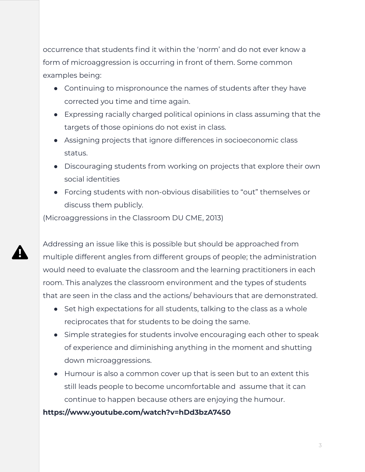occurrence that students find it within the 'norm' and do not ever know a form of microaggression is occurring in front of them. Some common examples being:

- Continuing to mispronounce the names of students after they have corrected you time and time again.
- Expressing racially charged political opinions in class assuming that the targets of those opinions do not exist in class.
- Assigning projects that ignore differences in socioeconomic class status.
- Discouraging students from working on projects that explore their own social identities
- Forcing students with non-obvious disabilities to "out" themselves or discuss them publicly.

(Microaggressions in the Classroom DU CME, 2013)

Addressing an issue like this is possible but should be approached from multiple different angles from different groups of people; the administration would need to evaluate the classroom and the learning practitioners in each room. This analyzes the classroom environment and the types of students that are seen in the class and the actions/ behaviours that are demonstrated.

- Set high expectations for all students, talking to the class as a whole reciprocates that for students to be doing the same.
- Simple strategies for students involve encouraging each other to speak of experience and diminishing anything in the moment and shutting down microaggressions.
- Humour is also a common cover up that is seen but to an extent this still leads people to become uncomfortable and assume that it can continue to happen because others are enjoying the humour.

#### **https://www.youtube.com/watch?v=hDd3bzA7450**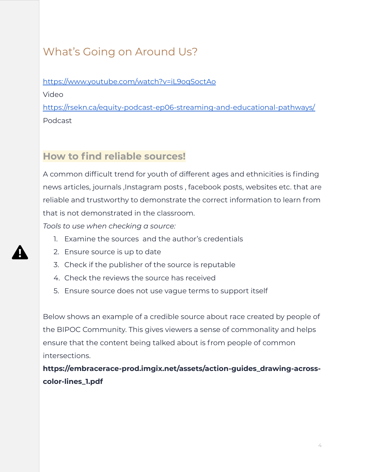### What's Going on Around Us?

<https://www.youtube.com/watch?v=iL9oqSoctAo>

Video

<https://rsekn.ca/equity-podcast-ep06-streaming-and-educational-pathways/> Podcast

### **How to find reliable sources!**

A common difficult trend for youth of different ages and ethnicities is finding news articles, journals ,Instagram posts , facebook posts, websites etc. that are reliable and trustworthy to demonstrate the correct information to learn from that is not demonstrated in the classroom.

*Tools to use when checking a source:*

- 1. Examine the sources and the author's credentials
- 2. Ensure source is up to date
- 3. Check if the publisher of the source is reputable
- 4. Check the reviews the source has received
- 5. Ensure source does not use vague terms to support itself

Below shows an example of a credible source about race created by people of the BIPOC Community. This gives viewers a sense of commonality and helps ensure that the content being talked about is from people of common intersections.

**https://embracerace-prod.imgix.net/assets/action-guides\_drawing-acrosscolor-lines\_1.pdf**



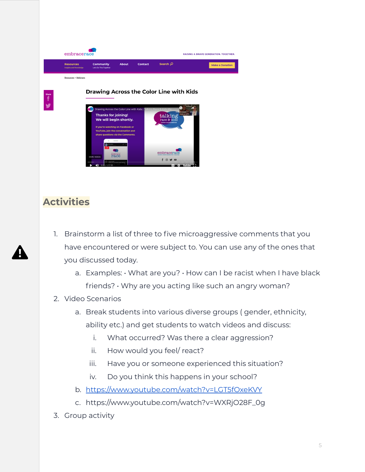embracerace **RAISING A BRAVE GENERATION. TOGETHER.** Resources Community Contact Search Q Make a Donation Resources > Webinars **Drawing Across the Color Line with Kids Thanks for joining!** alkir. We will begin shortly  $embrac$  $f$  $\Box$ 

### **Activities**

- 1. Brainstorm a list of three to five microaggressive comments that you have encountered or were subject to. You can use any of the ones that you discussed today.
	- a. Examples:  $\cdot$  What are you?  $\cdot$  How can I be racist when I have black friends? • Why are you acting like such an angry woman?
- 2. Video Scenarios
	- a. Break students into various diverse groups ( gender, ethnicity, ability etc.) and get students to watch videos and discuss:
		- i. What occurred? Was there a clear aggression?
		- ii. How would you feel/ react?
		- iii. Have you or someone experienced this situation?
		- iv. Do you think this happens in your school?
	- b. <https://www.youtube.com/watch?v=LGT5fOxeKVY>
	- c. https://www.youtube.com/watch?v=WXRjO28F\_0g
- 3. Group activity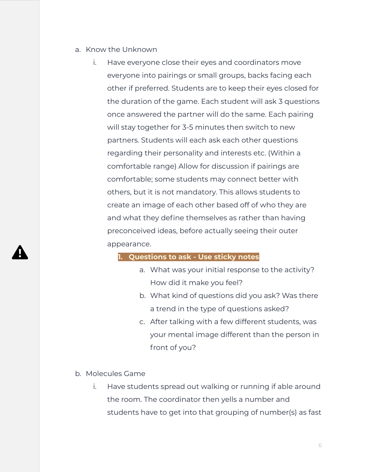- a. Know the Unknown
	- i. Have everyone close their eyes and coordinators move everyone into pairings or small groups, backs facing each other if preferred. Students are to keep their eyes closed for the duration of the game. Each student will ask 3 questions once answered the partner will do the same. Each pairing will stay together for 3-5 minutes then switch to new partners. Students will each ask each other questions regarding their personality and interests etc. (Within a comfortable range) Allow for discussion if pairings are comfortable; some students may connect better with others, but it is not mandatory. This allows students to create an image of each other based off of who they are and what they define themselves as rather than having preconceived ideas, before actually seeing their outer appearance.

#### **1. Questions to ask - Use sticky notes**

- a. What was your initial response to the activity? How did it make you feel?
- b. What kind of questions did you ask? Was there a trend in the type of questions asked?
- c. After talking with a few different students, was your mental image different than the person in front of you?

#### b. Molecules Game

i. Have students spread out walking or running if able around the room. The coordinator then yells a number and students have to get into that grouping of number(s) as fast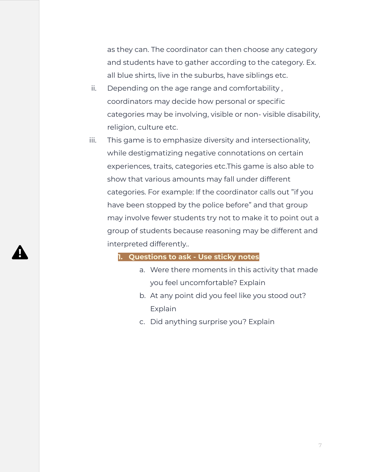as they can. The coordinator can then choose any category and students have to gather according to the category. Ex. all blue shirts, live in the suburbs, have siblings etc.

- ii. Depending on the age range and comfortability , coordinators may decide how personal or specific categories may be involving, visible or non- visible disability, religion, culture etc.
- iii. This game is to emphasize diversity and intersectionality, while destigmatizing negative connotations on certain experiences, traits, categories etc.This game is also able to show that various amounts may fall under different categories. For example: If the coordinator calls out "if you have been stopped by the police before" and that group may involve fewer students try not to make it to point out a group of students because reasoning may be different and interpreted differently..

#### **1. Questions to ask - Use sticky notes**

- a. Were there moments in this activity that made you feel uncomfortable? Explain
- b. At any point did you feel like you stood out? Explain
- c. Did anything surprise you? Explain